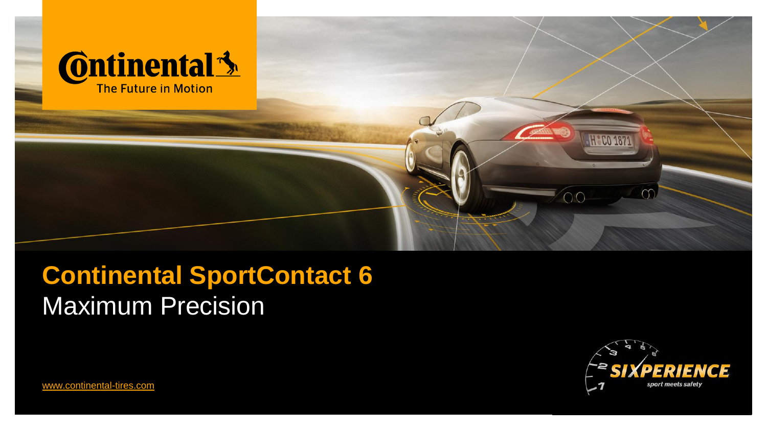

# **Continental SportContact 6** Maximum Precision



[www.continental-tires.com](http://www.continental-tires.com/)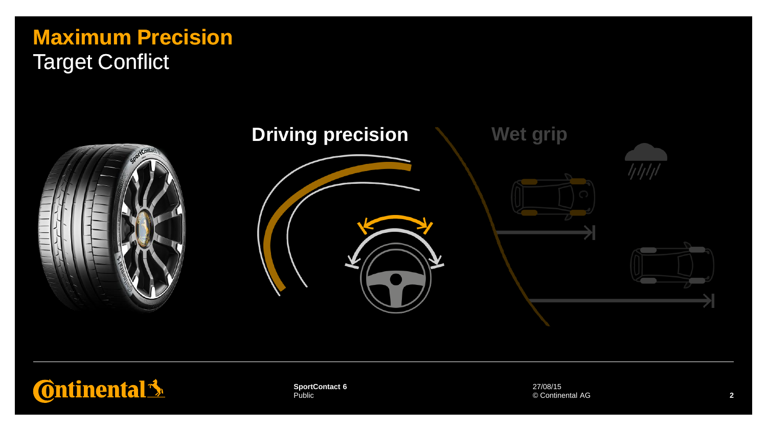### **Maximum Precision** Target Conflict



## **Ontinental 3**

Public **SportContact 6** 27/08/15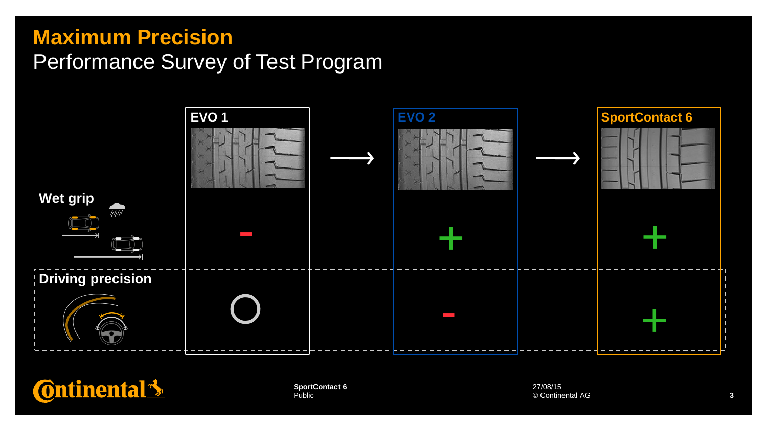### **Maximum Precision** Performance Survey of Test Program





Public **SportContact 6** 27/08/15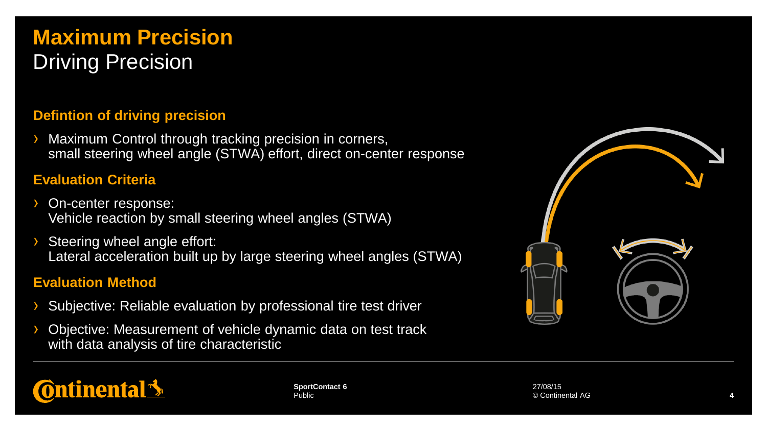### **Maximum Precision** Driving Precision

#### **Defintion of driving precision**

Maximum Control through tracking precision in corners, small steering wheel angle (STWA) effort, direct on-center response

#### **Evaluation Criteria**

- On-center response: Vehicle reaction by small steering wheel angles (STWA)
- Steering wheel angle effort: Lateral acceleration built up by large steering wheel angles (STWA)

#### **Evaluation Method**

- Subjective: Reliable evaluation by professional tire test driver
- Objective: Measurement of vehicle dynamic data on test track with data analysis of tire characteristic



## **Ontinental**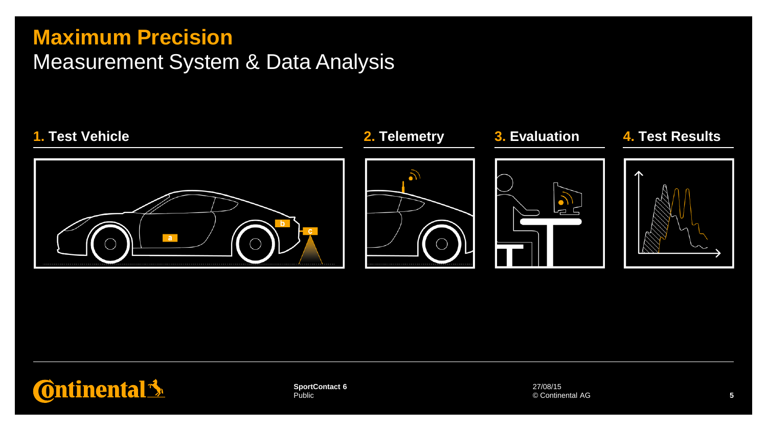### **Maximum Precision**

### Measurement System & Data Analysis





Public **SportContact 6** 27/08/15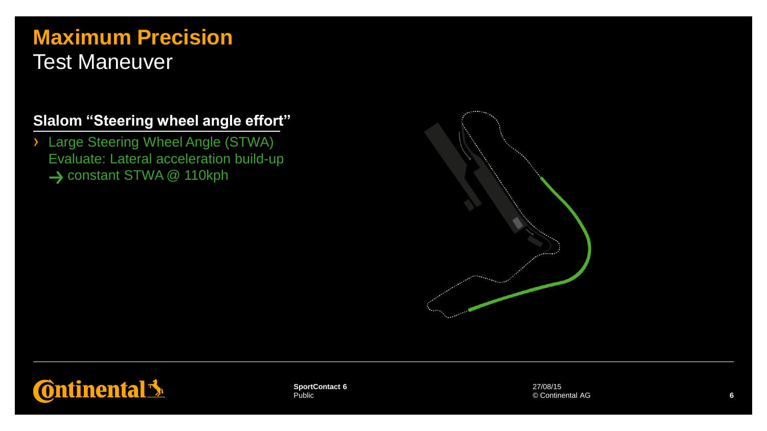#### **Maximum Precision** Test Maneuver

#### **Slalom "Steering wheel angle effort"**

› Large Steering Wheel Angle (STWA) Evaluate: Lateral acceleration build-up → constant STWA @ 110kph





Public **SportContact 6** 27/08/15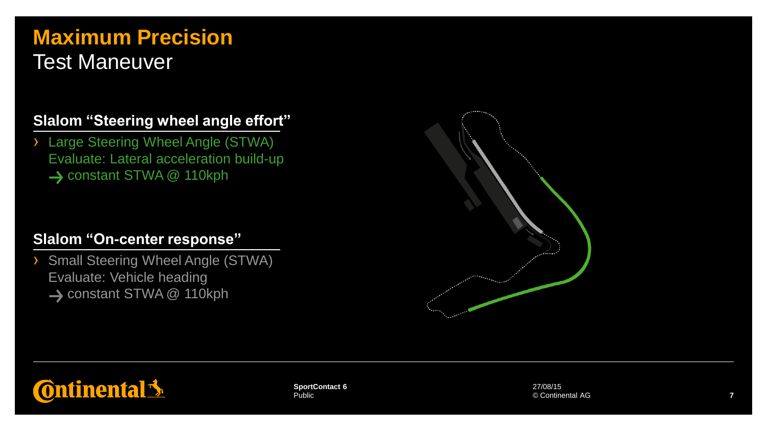### **Maximum Precision** Test Maneuver

#### **Slalom "Steering wheel angle effort"**

› Large Steering Wheel Angle (STWA) Evaluate: Lateral acceleration build-up → constant STWA @ 110kph

#### **Slalom "On-center response"**

› Small Steering Wheel Angle (STWA) Evaluate: Vehicle heading → constant STWA @ 110kph





Public **SportContact 6** 27/08/15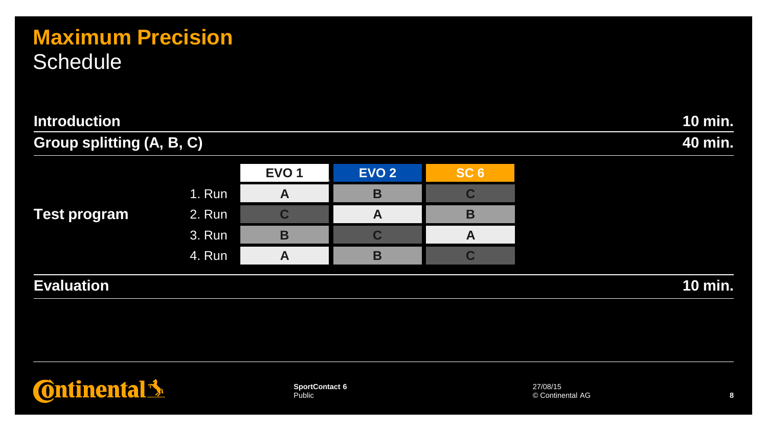### **Maximum Precision Schedule**

| <b>Introduction</b>              | 10 min. |                  |              |                 |           |
|----------------------------------|---------|------------------|--------------|-----------------|-----------|
| <b>Group splitting (A, B, C)</b> |         |                  |              |                 | 40 min.   |
|                                  |         | EVO <sub>1</sub> | <b>EVO 2</b> | SC <sub>6</sub> |           |
|                                  | 1. Run  | A                | B            | C               |           |
| <b>Test program</b>              | 2. Run  | C                | A            | B               |           |
|                                  | 3. Run  | B                | C            | A               |           |
|                                  | 4. Run  | A                | B            |                 |           |
| <b>Evaluation</b>                |         |                  |              |                 | $10$ min. |